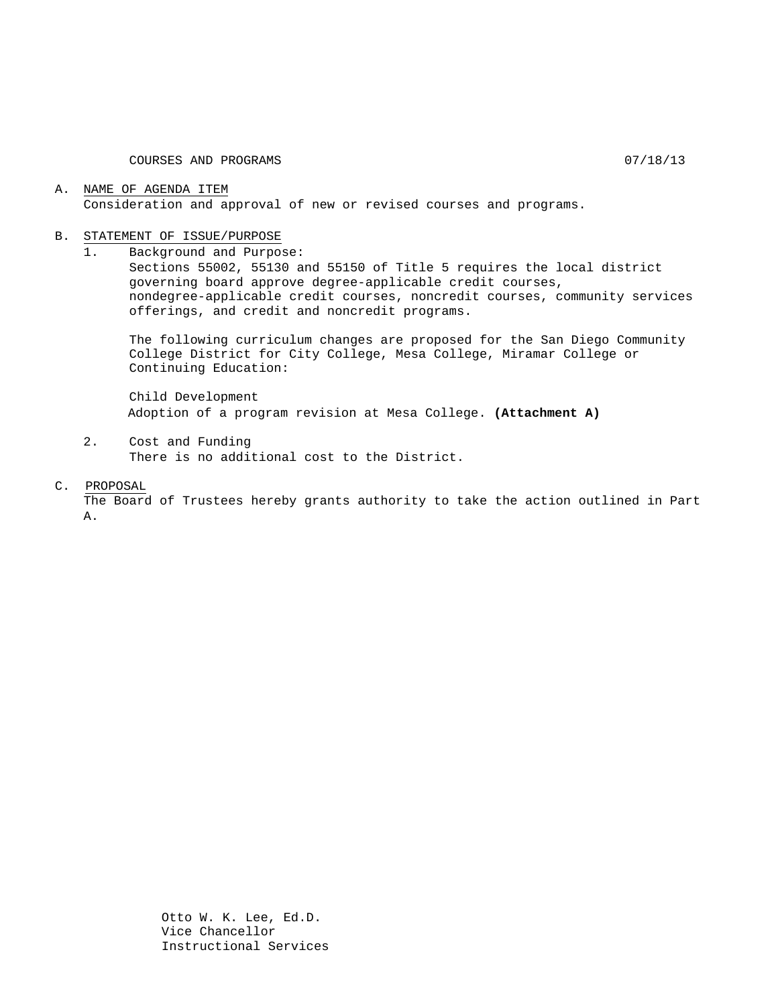#### A. NAME OF AGENDA ITEM Consideration and approval of new or revised courses and programs.

# B. STATEMENT OF ISSUE/PURPOSE<br>1. Background and Purpo

1. Background and Purpose:

Sections 55002, 55130 and 55150 of Title 5 requires the local district governing board approve degree-applicable credit courses, nondegree-applicable credit courses, noncredit courses, community services offerings, and credit and noncredit programs.

The following curriculum changes are proposed for the San Diego Community College District for City College, Mesa College, Miramar College or Continuing Education:

Child Development Adoption of a program revision at Mesa College. **(Attachment A)**

2. Cost and Funding There is no additional cost to the District.

#### C. PROPOSAL

The Board of Trustees hereby grants authority to take the action outlined in Part A.

> Otto W. K. Lee, Ed.D. Vice Chancellor Instructional Services